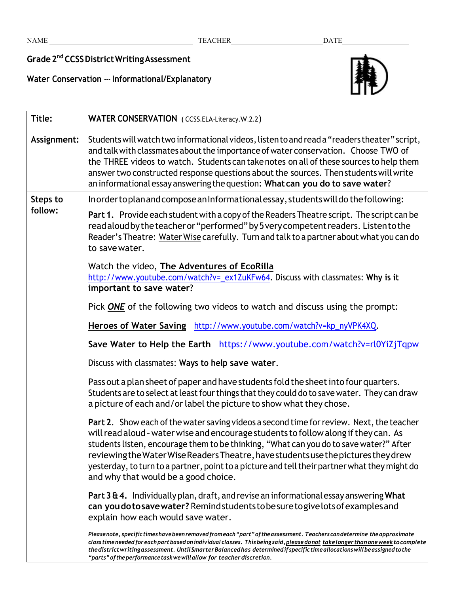## **Grade2nd CCSSDistrictWritingAssessment**

**Water Conservation -- Informational/Explanatory**



| Title:              | <b>WATER CONSERVATION</b> (CCSS.ELA-Literacy.W.2.2)                                                                                                                                                                                                                                                                                                                                                                                                                                                      |
|---------------------|----------------------------------------------------------------------------------------------------------------------------------------------------------------------------------------------------------------------------------------------------------------------------------------------------------------------------------------------------------------------------------------------------------------------------------------------------------------------------------------------------------|
| Assignment:         | Students will watch two informational videos, listen to and read a "readers theater" script,<br>and talk with classmates about the importance of water conservation. Choose TWO of<br>the THREE videos to watch. Students can take notes on all of these sources to help them<br>answer two constructed response questions about the sources. Then students will write<br>an informational essay answering the question: What can you do to save water?                                                  |
| Steps to<br>follow: | Inorder to plan and compose an Informational essay, students will do the following:                                                                                                                                                                                                                                                                                                                                                                                                                      |
|                     | Part 1. Provide each student with a copy of the Readers Theatre script. The script can be<br>read aloud by the teacher or "performed" by 5 very competent readers. Listen to the<br>Reader's Theatre: Water Wise carefully. Turn and talk to a partner about what you can do<br>to save water.                                                                                                                                                                                                           |
|                     | Watch the video, The Adventures of EcoRilla<br>http://www.youtube.com/watch?v=_ex1ZuKFw64. Discuss with classmates: Why is it<br>important to save water?                                                                                                                                                                                                                                                                                                                                                |
|                     | Pick ONE of the following two videos to watch and discuss using the prompt:                                                                                                                                                                                                                                                                                                                                                                                                                              |
|                     | Heroes of Water Saving http://www.youtube.com/watch?v=kp_nyVPK4XQ.                                                                                                                                                                                                                                                                                                                                                                                                                                       |
|                     | Save Water to Help the Earth https://www.youtube.com/watch?v=rl0YiZjTqpw                                                                                                                                                                                                                                                                                                                                                                                                                                 |
|                     | Discuss with classmates: Ways to help save water.                                                                                                                                                                                                                                                                                                                                                                                                                                                        |
|                     | Pass out a plan sheet of paper and have students fold the sheet into four quarters.<br>Students are to select at least four things that they could do to save water. They can draw<br>a picture of each and/or label the picture to show what they chose.                                                                                                                                                                                                                                                |
|                     | Part 2. Show each of the water saving videos a second time for review. Next, the teacher<br>will read aloud - water wise and encourage students to follow along if they can. As<br>students listen, encourage them to be thinking, "What can you do to save water?" After<br>reviewing the Water Wise Readers Theatre, have students use the pictures they drew<br>yesterday, to turn to a partner, point to a picture and tell their partner what they might do<br>and why that would be a good choice. |
|                     | Part $364.$ Individually plan, draft, and revise an informational essay answering What<br>can you do to save water? Remind students to be sure to give lots of examples and<br>explain how each would save water.                                                                                                                                                                                                                                                                                        |
|                     | Pleasenote, specific times have been removed from each "part" of the assessment. Teachers can determine the approximate<br>class time needed for each part based on individual classes. This being said, please donot take longer than one week to complete<br>the district writing assessment. Until Smarter Balanced has determined if specific time allocations will be assigned to the                                                                                                               |

*"parts"of theperformancetaskwewillallow for teacher discretion.*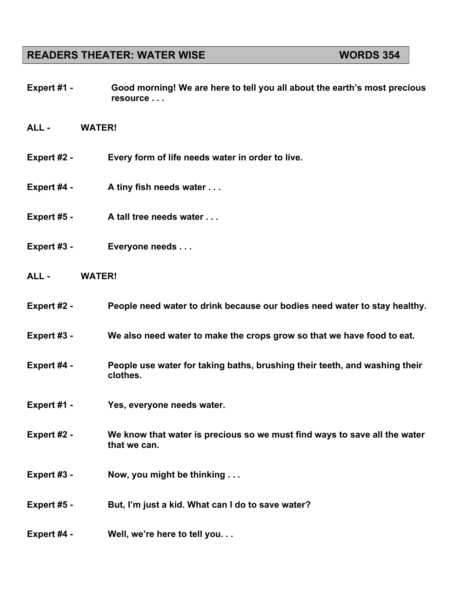## **READERS THEATER: WATER WISE WORDS 354**

- **Expert #1 - Good morning! We are here to tell you all about the earth's most precious resource . . .**
- **ALL - WATER!**
- **Expert #2 - Every form of life needs water in order to live.**
- **Expert #4 - A tiny fish needs water . . .**
- **Expert #5 - A tall tree needs water . . .**
- **Expert #3 - Everyone needs . . .**
- **ALL - WATER!**
- **Expert #2 - People need water to drink because our bodies need water to stay healthy.**
- **Expert #3 - We also need water to make the crops grow so that we have food to eat.**
- **Expert #4 - People use water for taking baths, brushing their teeth, and washing their clothes.**
- **Expert #1 - Yes, everyone needs water.**
- **Expert #2 - We know that water is precious so we must find ways to save all the water that we can.**
- **Expert #3 - Now, you might be thinking . . .**
- **Expert #5 - But, I'm just a kid. What can I do to save water?**
- **Expert #4 - Well, we're here to tell you. . .**